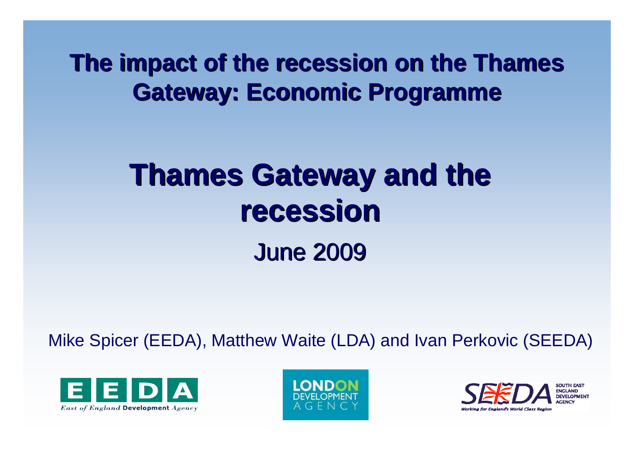**The impact of the recession on the Thames Gateway: Economic Programme Gateway: Economic Programme**

# **Thames Gateway and the recession recession**June 2009 June 2009

Mike Spicer (EEDA), Matthew Waite (LDA) and Ivan Perkovic (SEEDA)





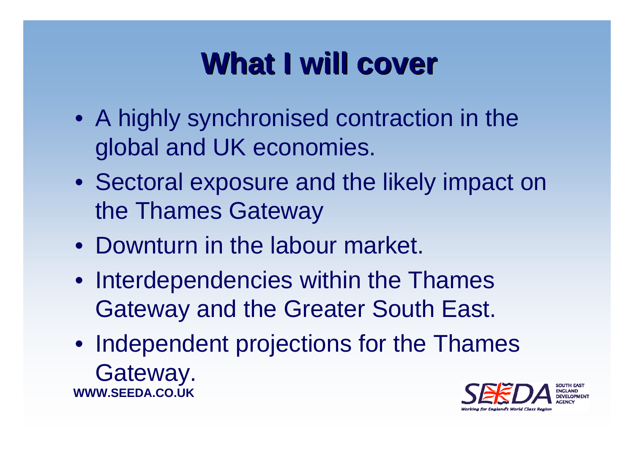#### **What I will cover What I will cover**

- A highly synchronised contraction in the global and UK economies.
- Sectoral exposure and the likely impact on the Thames Gateway
- Downturn in the labour market.
- Interdependencies within the Thames Gateway and the Greater South East.
- **WWW.SEEDA.CO.UK** • Independent projections for the Thames Gateway.

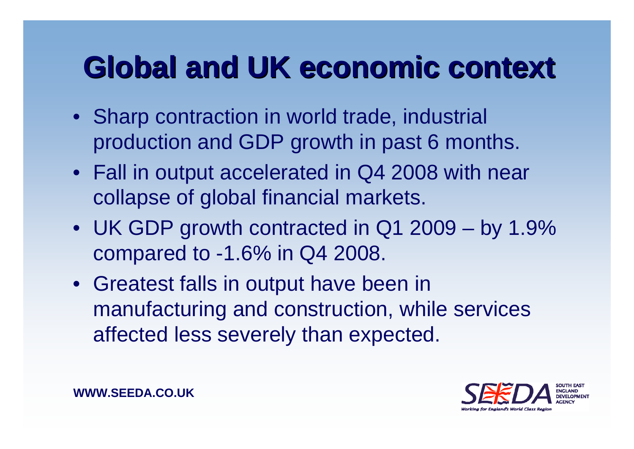## **Global and UK economic context Global and UK economic context**

- Sharp contraction in world trade, industrial production and GDP growth in past 6 months.
- Fall in output accelerated in Q4 2008 with near collapse of global financial markets.
- UK GDP growth contracted in Q1 2009 by 1.9% compared to -1.6% in Q4 2008.
- Greatest falls in output have been in manufacturing and construction, while services affected less severely than expected.

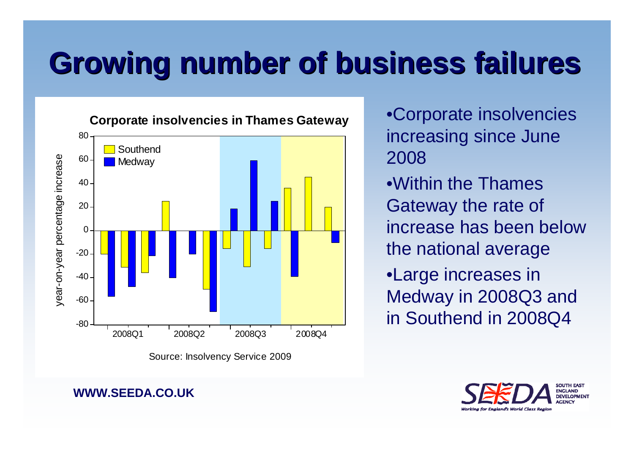# **Growing number of business failures Growing number of business failures**



increasing since June 2008

- •Within the Thames Gateway the rate of increase has been below the national average
- •Large increases in Medway in 2008Q3 and in Southend in 2008Q4



**WWW.SEEDA.CO.UK**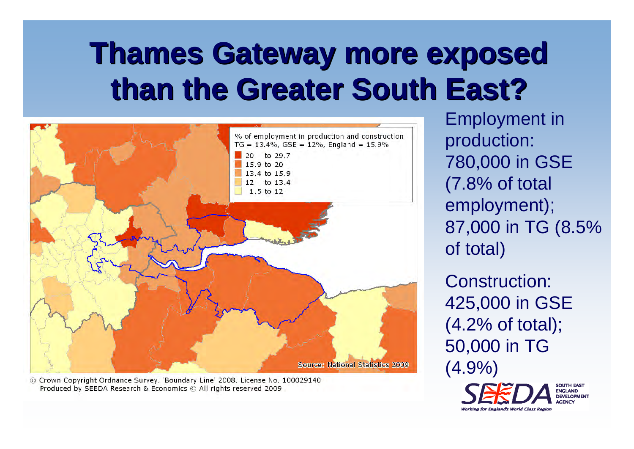# **Thames Gateway more exposed Thames Gateway more exposed than the Greater South East? than the Greater South East?**



© Crown Copyright Ordnance Survey. 'Boundary Line' 2008. License No. 100029140 Produced by SEEDA Research & Economics © All rights reserved 2009

Employment in production: 780,000 in GSE (7.8% of total employment); 87,000 in TG (8.5% of total)

Construction: 425,000 in GSE (4.2% of total); 50,000 in TG (4.9%)

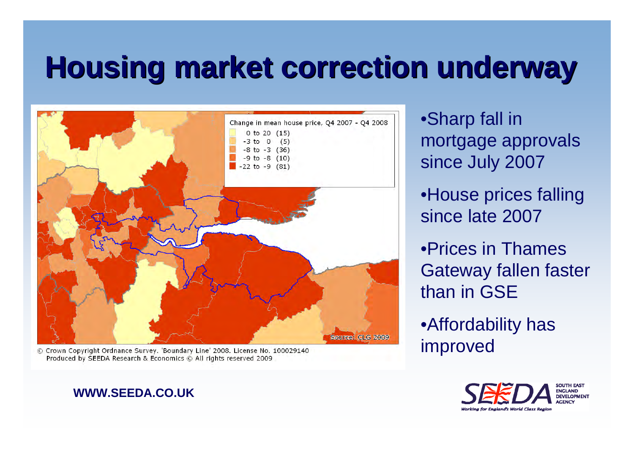#### **Housing market correction underway Housing market correction underway**



© Crown Copyright Ordnance Survey, 'Boundary Line' 2008, License No. 100029140 Produced by SEEDA Research & Economics © All rights reserved 2009

#### **WWW.SEEDA.CO.UK**

•Sharp fall in mortgage approvals since July 2007 •House prices falling

since late 2007

•Prices in Thames Gateway fallen faster than in GSE

•Affordability has improved

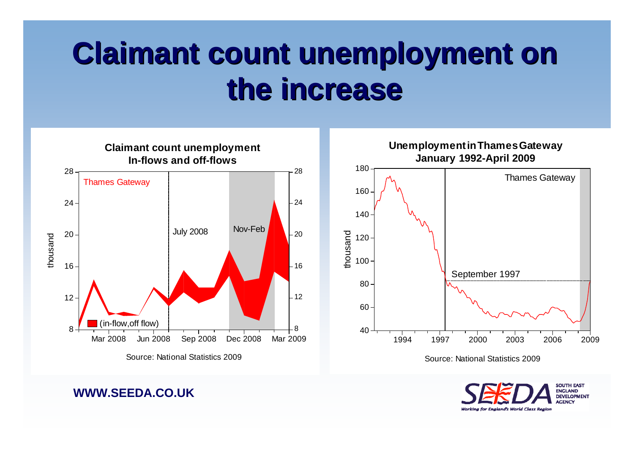## **Claimant count unemployment on the increase the increase**



 1997 2000 2003 2006 2009 September 1997 **Unemployment in Thames Gateway January 1992-April 2009** Thames Gateway

Source: National Statistics 2009

**SOUTH EAST** ENGLAND **DEVELOPMENT** ACENCY Working for England's World Class Region

**WWW.SEEDA.CO.UK**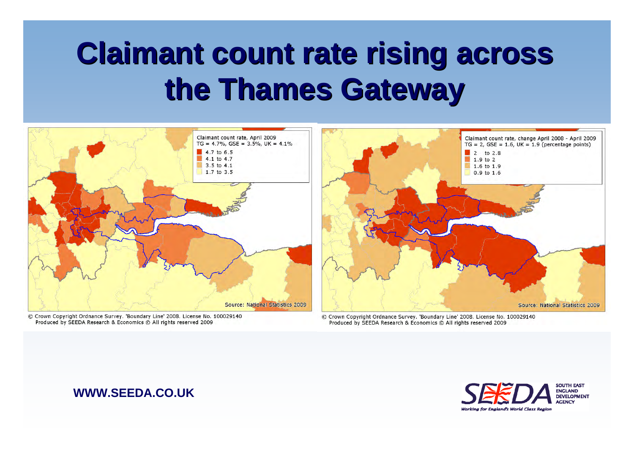## **Claimant count rate rising across the Thames Gateway the Thames Gateway**



© Crown Copyright Ordnance Survey, 'Boundary Line' 2008, License No. 100029140 Produced by SEEDA Research & Economics © All rights reserved 2009

© Crown Copyright Ordnance Survey. 'Boundary Line' 2008. License No. 100029140 Produced by SEEDA Research & Economics © All rights reserved 2009

#### **WWW.SEEDA.CO.UK**

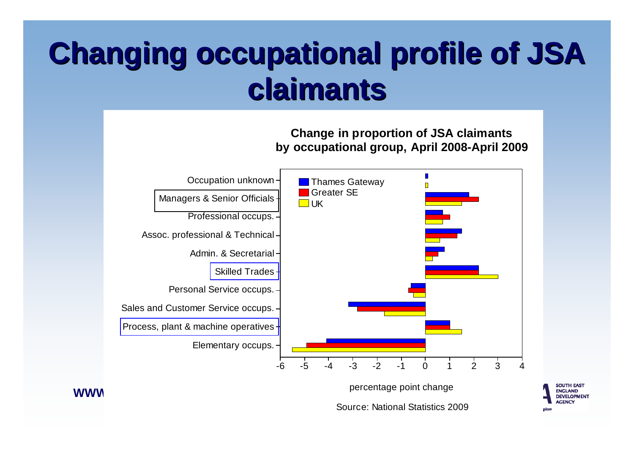# **Changing occupational profile of JSA Changing occupational profile of JSA claimants claimants**



Source: National Statistics 2009

SOUTH EAST **ENGLAND DEVELOPMENT ACENCY** 

zio.

**Change in proportion of JSA claimants**

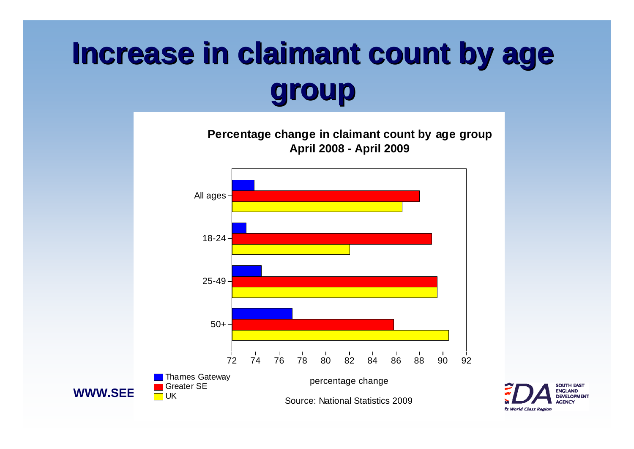# **Increase in claimant count by age group**



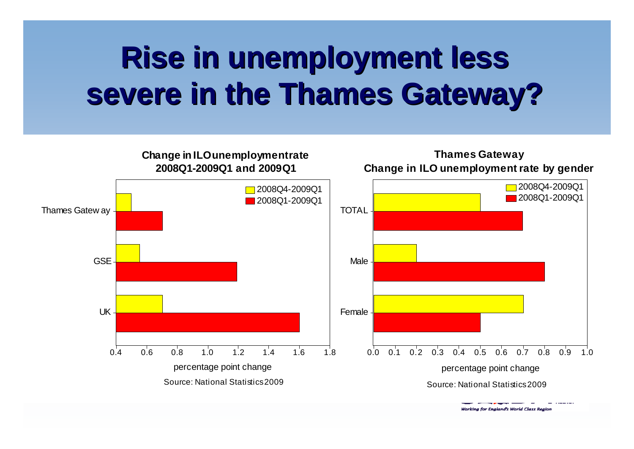# **Rise in unemployment less severe in the Thames Gateway? severe in the Thames Gateway?**



Working for England's World Class Region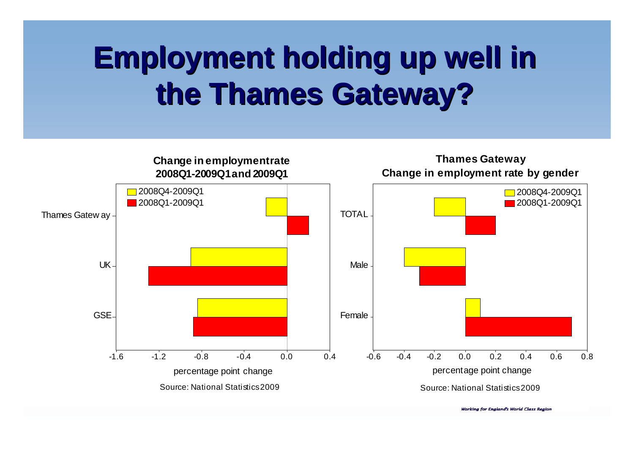# **Employment holding up well in Employment holding up well in the Thames Gateway? the Thames Gateway?**



**Working for England's World Class Region**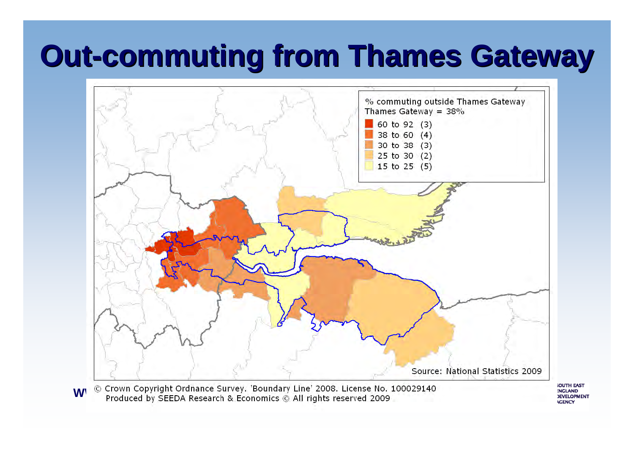## **Out-commuting from Thames Gateway commuting from Thames Gateway**



**WWW.SEEDA.PO.UK** 

**OUTH EAST NGLAND DEVELOPMENT ACENCY**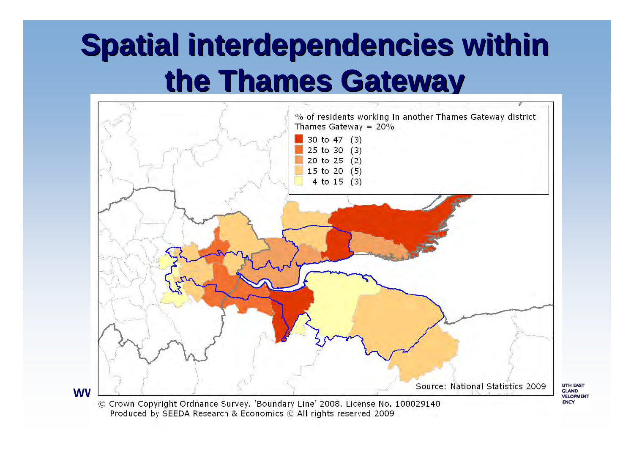## **Spatial interdependencies within the Thames Gateway the Thames Gateway**



Produced by SEEDA Research & Economics © All rights reserved 2009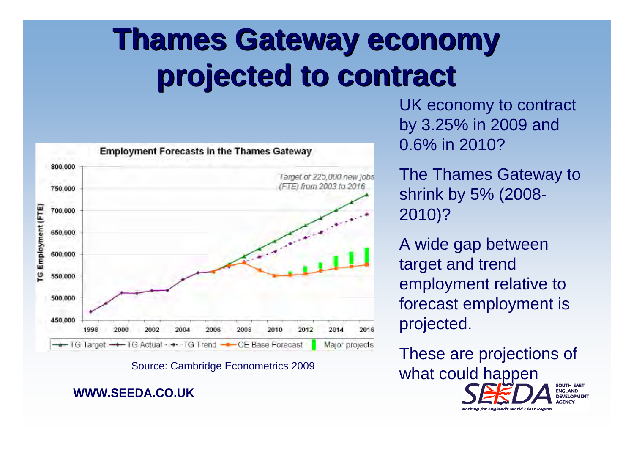# **Thames Gateway economy Thames Gateway economy projected to contract projected to contract**



#### **WWW.SEEDA.CO.UK**

UK economy to contract by 3.25% in 2009 and 0.6% in 2010?

The Thames Gateway to shrink by 5% (2008- 2010)?

A wide gap between target and trend employment relative to forecast employment is projected.

These are projections of Source: Cambridge Econometrics 2009 **What could happen SOUTH EAST ENGLAND DEVELOPMENT** 

Working for England's World Class Realor